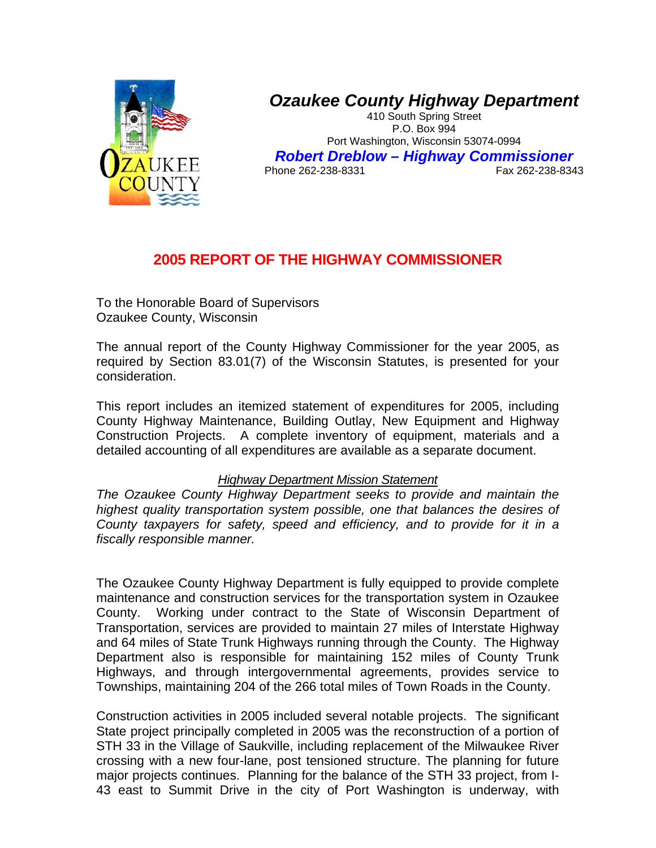

## *Ozaukee County Highway Department*

410 South Spring Street P.O. Box 994 Port Washington, Wisconsin 53074-0994 *Robert Dreblow – Highway Commissioner*  Phone 262-238-8331

## **2005 REPORT OF THE HIGHWAY COMMISSIONER**

To the Honorable Board of Supervisors Ozaukee County, Wisconsin

The annual report of the County Highway Commissioner for the year 2005, as required by Section 83.01(7) of the Wisconsin Statutes, is presented for your consideration.

This report includes an itemized statement of expenditures for 2005, including County Highway Maintenance, Building Outlay, New Equipment and Highway Construction Projects. A complete inventory of equipment, materials and a detailed accounting of all expenditures are available as a separate document.

## *Highway Department Mission Statement*

*The Ozaukee County Highway Department seeks to provide and maintain the highest quality transportation system possible, one that balances the desires of County taxpayers for safety, speed and efficiency, and to provide for it in a fiscally responsible manner.* 

The Ozaukee County Highway Department is fully equipped to provide complete maintenance and construction services for the transportation system in Ozaukee County. Working under contract to the State of Wisconsin Department of Transportation, services are provided to maintain 27 miles of Interstate Highway and 64 miles of State Trunk Highways running through the County. The Highway Department also is responsible for maintaining 152 miles of County Trunk Highways, and through intergovernmental agreements, provides service to Townships, maintaining 204 of the 266 total miles of Town Roads in the County.

Construction activities in 2005 included several notable projects. The significant State project principally completed in 2005 was the reconstruction of a portion of STH 33 in the Village of Saukville, including replacement of the Milwaukee River crossing with a new four-lane, post tensioned structure. The planning for future major projects continues. Planning for the balance of the STH 33 project, from I-43 east to Summit Drive in the city of Port Washington is underway, with